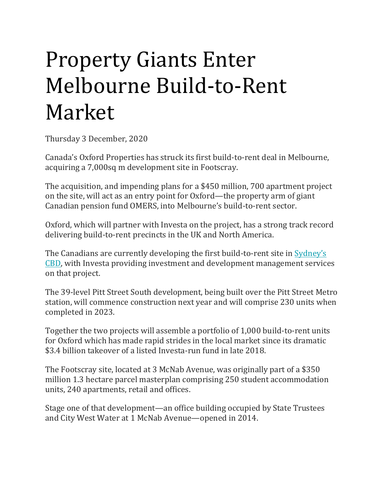## Property Giants Enter Melbourne Build-to-Rent Market

Thursday 3 December, 2020

Canada's Oxford Properties has struck its first build-to-rent deal in Melbourne, acquiring a 7,000sq m development site in Footscray.

The acquisition, and impending plans for a \$450 million, 700 apartment project on the site, will act as an entry point for Oxford—the property arm of giant Canadian pension fund OMERS, into Melbourne's build-to-rent sector.

Oxford, which will partner with Investa on the project, has a strong track record delivering build-to-rent precincts in the UK and North America.

The Canadians are currently developing the first build-to-rent site in [Sydney's](https://theurbandeveloper.com/articles/oxford-pitt-street-metro-station-build-to-rent)  [CBD,](https://theurbandeveloper.com/articles/oxford-pitt-street-metro-station-build-to-rent) with Investa providing investment and development management services on that project.

The 39-level Pitt Street South development, being built over the Pitt Street Metro station, will commence construction next year and will comprise 230 units when completed in 2023.

Together the two projects will assemble a portfolio of 1,000 build-to-rent units for Oxford which has made rapid strides in the local market since its dramatic \$3.4 billion takeover of a listed Investa-run fund in late 2018.

The Footscray site, located at 3 McNab Avenue, was originally part of a \$350 million 1.3 hectare parcel masterplan comprising 250 student accommodation units, 240 apartments, retail and offices.

Stage one of that development—an office building occupied by State Trustees and City West Water at 1 McNab Avenue—opened in 2014.